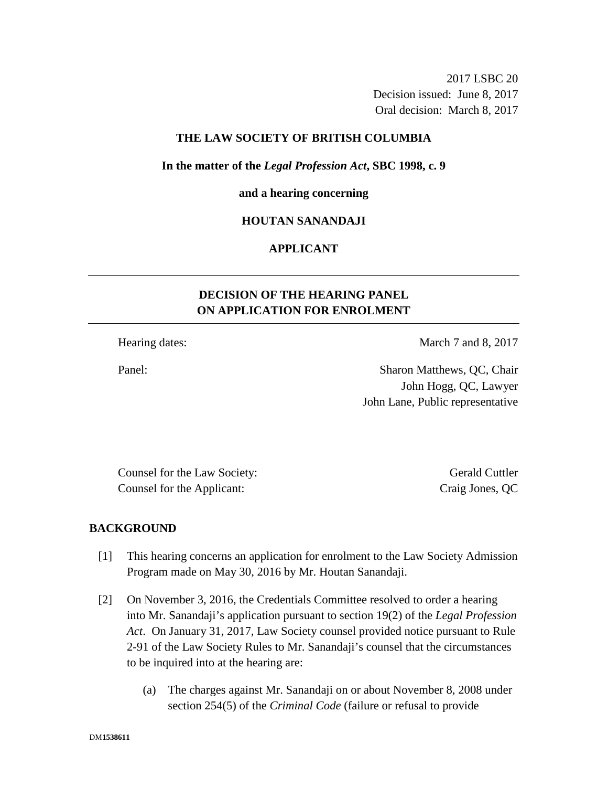2017 LSBC 20 Decision issued: June 8, 2017 Oral decision: March 8, 2017

## **THE LAW SOCIETY OF BRITISH COLUMBIA**

**In the matter of the** *Legal Profession Act***, SBC 1998, c. 9** 

## **and a hearing concerning**

## **HOUTAN SANANDAJI**

# **APPLICANT**

# **DECISION OF THE HEARING PANEL ON APPLICATION FOR ENROLMENT**

Hearing dates: March 7 and 8, 2017

Panel: Sharon Matthews, QC, Chair John Hogg, QC, Lawyer John Lane, Public representative

Counsel for the Law Society: Gerald Cuttler Counsel for the Applicant: Craig Jones, QC

## **BACKGROUND**

- [1] This hearing concerns an application for enrolment to the Law Society Admission Program made on May 30, 2016 by Mr. Houtan Sanandaji.
- [2] On November 3, 2016, the Credentials Committee resolved to order a hearing into Mr. Sanandaji's application pursuant to section 19(2) of the *Legal Profession Act*. On January 31, 2017, Law Society counsel provided notice pursuant to Rule 2-91 of the Law Society Rules to Mr. Sanandaji's counsel that the circumstances to be inquired into at the hearing are:
	- (a) The charges against Mr. Sanandaji on or about November 8, 2008 under section 254(5) of the *Criminal Code* (failure or refusal to provide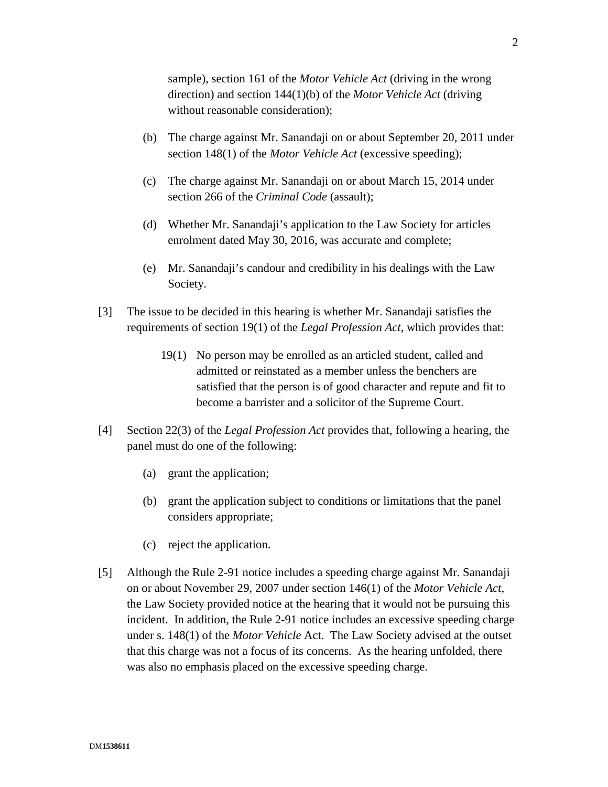sample), section 161 of the *Motor Vehicle Act* (driving in the wrong direction) and section 144(1)(b) of the *Motor Vehicle Act* (driving without reasonable consideration);

- (b) The charge against Mr. Sanandaji on or about September 20, 2011 under section 148(1) of the *Motor Vehicle Act* (excessive speeding);
- (c) The charge against Mr. Sanandaji on or about March 15, 2014 under section 266 of the *Criminal Code* (assault);
- (d) Whether Mr. Sanandaji's application to the Law Society for articles enrolment dated May 30, 2016, was accurate and complete;
- (e) Mr. Sanandaji's candour and credibility in his dealings with the Law Society.
- [3] The issue to be decided in this hearing is whether Mr. Sanandaji satisfies the requirements of section 19(1) of the *Legal Profession Act*, which provides that:
	- 19(1) No person may be enrolled as an articled student, called and admitted or reinstated as a member unless the benchers are satisfied that the person is of good character and repute and fit to become a barrister and a solicitor of the Supreme Court.
- [4] Section 22(3) of the *Legal Profession Act* provides that, following a hearing, the panel must do one of the following:
	- (a) grant the application;
	- (b) grant the application subject to conditions or limitations that the panel considers appropriate;
	- (c) reject the application.
- [5] Although the Rule 2-91 notice includes a speeding charge against Mr. Sanandaji on or about November 29, 2007 under section 146(1) of the *Motor Vehicle Act*, the Law Society provided notice at the hearing that it would not be pursuing this incident. In addition, the Rule 2-91 notice includes an excessive speeding charge under s. 148(1) of the *Motor Vehicle* Act. The Law Society advised at the outset that this charge was not a focus of its concerns. As the hearing unfolded, there was also no emphasis placed on the excessive speeding charge.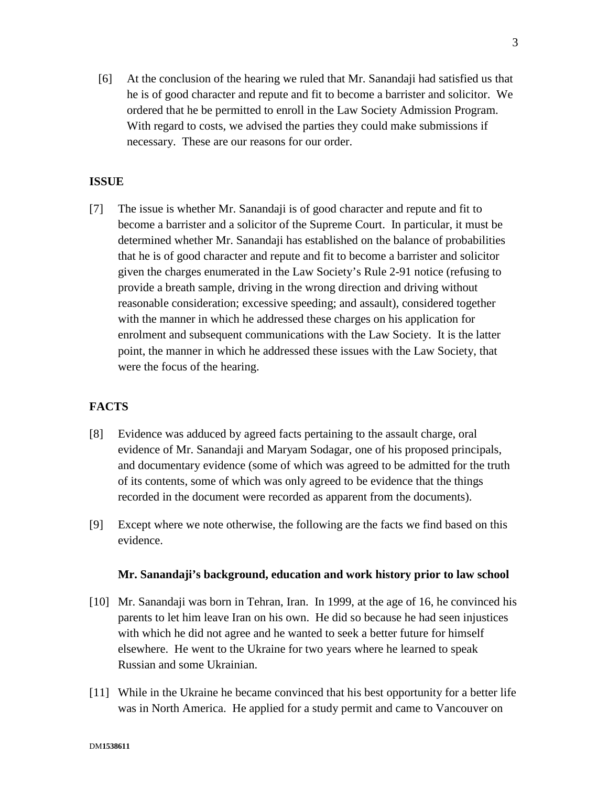[6] At the conclusion of the hearing we ruled that Mr. Sanandaji had satisfied us that he is of good character and repute and fit to become a barrister and solicitor. We ordered that he be permitted to enroll in the Law Society Admission Program. With regard to costs, we advised the parties they could make submissions if necessary. These are our reasons for our order.

# **ISSUE**

[7] The issue is whether Mr. Sanandaji is of good character and repute and fit to become a barrister and a solicitor of the Supreme Court. In particular, it must be determined whether Mr. Sanandaji has established on the balance of probabilities that he is of good character and repute and fit to become a barrister and solicitor given the charges enumerated in the Law Society's Rule 2-91 notice (refusing to provide a breath sample, driving in the wrong direction and driving without reasonable consideration; excessive speeding; and assault), considered together with the manner in which he addressed these charges on his application for enrolment and subsequent communications with the Law Society. It is the latter point, the manner in which he addressed these issues with the Law Society, that were the focus of the hearing.

# **FACTS**

- [8] Evidence was adduced by agreed facts pertaining to the assault charge, oral evidence of Mr. Sanandaji and Maryam Sodagar, one of his proposed principals, and documentary evidence (some of which was agreed to be admitted for the truth of its contents, some of which was only agreed to be evidence that the things recorded in the document were recorded as apparent from the documents).
- [9] Except where we note otherwise, the following are the facts we find based on this evidence.

#### **Mr. Sanandaji's background, education and work history prior to law school**

- [10] Mr. Sanandaji was born in Tehran, Iran. In 1999, at the age of 16, he convinced his parents to let him leave Iran on his own. He did so because he had seen injustices with which he did not agree and he wanted to seek a better future for himself elsewhere. He went to the Ukraine for two years where he learned to speak Russian and some Ukrainian.
- [11] While in the Ukraine he became convinced that his best opportunity for a better life was in North America. He applied for a study permit and came to Vancouver on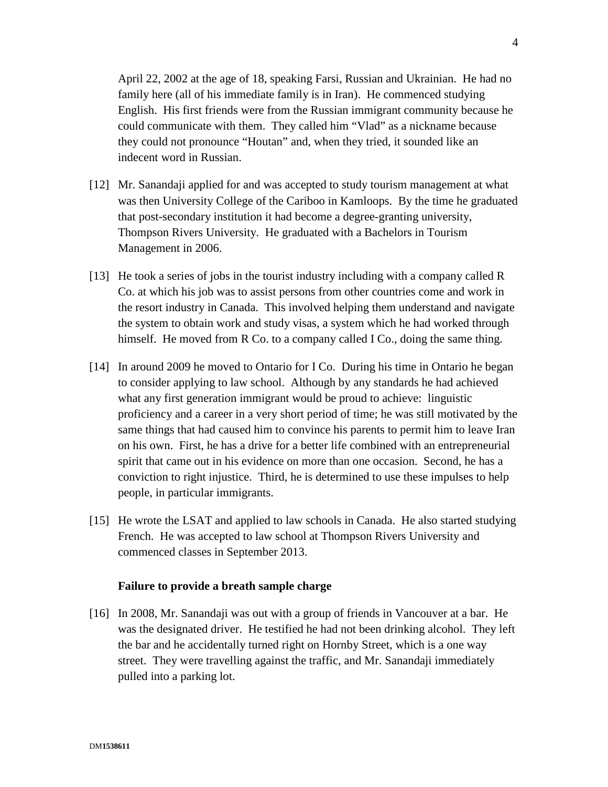April 22, 2002 at the age of 18, speaking Farsi, Russian and Ukrainian. He had no family here (all of his immediate family is in Iran). He commenced studying English. His first friends were from the Russian immigrant community because he could communicate with them. They called him "Vlad" as a nickname because they could not pronounce "Houtan" and, when they tried, it sounded like an indecent word in Russian.

- [12] Mr. Sanandaji applied for and was accepted to study tourism management at what was then University College of the Cariboo in Kamloops. By the time he graduated that post-secondary institution it had become a degree-granting university, Thompson Rivers University. He graduated with a Bachelors in Tourism Management in 2006.
- [13] He took a series of jobs in the tourist industry including with a company called R Co. at which his job was to assist persons from other countries come and work in the resort industry in Canada. This involved helping them understand and navigate the system to obtain work and study visas, a system which he had worked through himself. He moved from R Co. to a company called I Co., doing the same thing.
- [14] In around 2009 he moved to Ontario for I Co. During his time in Ontario he began to consider applying to law school. Although by any standards he had achieved what any first generation immigrant would be proud to achieve: linguistic proficiency and a career in a very short period of time; he was still motivated by the same things that had caused him to convince his parents to permit him to leave Iran on his own. First, he has a drive for a better life combined with an entrepreneurial spirit that came out in his evidence on more than one occasion. Second, he has a conviction to right injustice. Third, he is determined to use these impulses to help people, in particular immigrants.
- [15] He wrote the LSAT and applied to law schools in Canada. He also started studying French. He was accepted to law school at Thompson Rivers University and commenced classes in September 2013.

## **Failure to provide a breath sample charge**

[16] In 2008, Mr. Sanandaji was out with a group of friends in Vancouver at a bar. He was the designated driver. He testified he had not been drinking alcohol. They left the bar and he accidentally turned right on Hornby Street, which is a one way street. They were travelling against the traffic, and Mr. Sanandaji immediately pulled into a parking lot.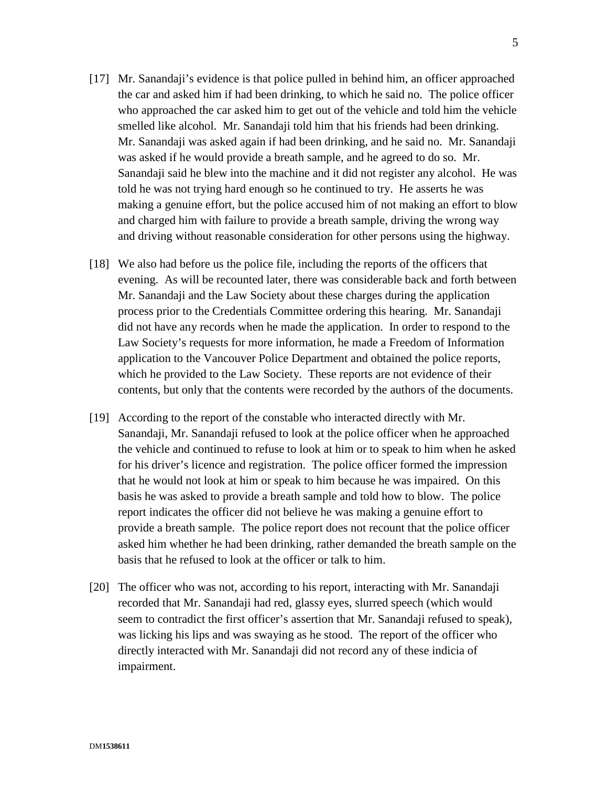- [17] Mr. Sanandaji's evidence is that police pulled in behind him, an officer approached the car and asked him if had been drinking, to which he said no. The police officer who approached the car asked him to get out of the vehicle and told him the vehicle smelled like alcohol. Mr. Sanandaji told him that his friends had been drinking. Mr. Sanandaji was asked again if had been drinking, and he said no. Mr. Sanandaji was asked if he would provide a breath sample, and he agreed to do so. Mr. Sanandaji said he blew into the machine and it did not register any alcohol. He was told he was not trying hard enough so he continued to try. He asserts he was making a genuine effort, but the police accused him of not making an effort to blow and charged him with failure to provide a breath sample, driving the wrong way and driving without reasonable consideration for other persons using the highway.
- [18] We also had before us the police file, including the reports of the officers that evening. As will be recounted later, there was considerable back and forth between Mr. Sanandaji and the Law Society about these charges during the application process prior to the Credentials Committee ordering this hearing. Mr. Sanandaji did not have any records when he made the application. In order to respond to the Law Society's requests for more information, he made a Freedom of Information application to the Vancouver Police Department and obtained the police reports, which he provided to the Law Society. These reports are not evidence of their contents, but only that the contents were recorded by the authors of the documents.
- [19] According to the report of the constable who interacted directly with Mr. Sanandaji, Mr. Sanandaji refused to look at the police officer when he approached the vehicle and continued to refuse to look at him or to speak to him when he asked for his driver's licence and registration. The police officer formed the impression that he would not look at him or speak to him because he was impaired. On this basis he was asked to provide a breath sample and told how to blow. The police report indicates the officer did not believe he was making a genuine effort to provide a breath sample. The police report does not recount that the police officer asked him whether he had been drinking, rather demanded the breath sample on the basis that he refused to look at the officer or talk to him.
- [20] The officer who was not, according to his report, interacting with Mr. Sanandaji recorded that Mr. Sanandaji had red, glassy eyes, slurred speech (which would seem to contradict the first officer's assertion that Mr. Sanandaji refused to speak), was licking his lips and was swaying as he stood. The report of the officer who directly interacted with Mr. Sanandaji did not record any of these indicia of impairment.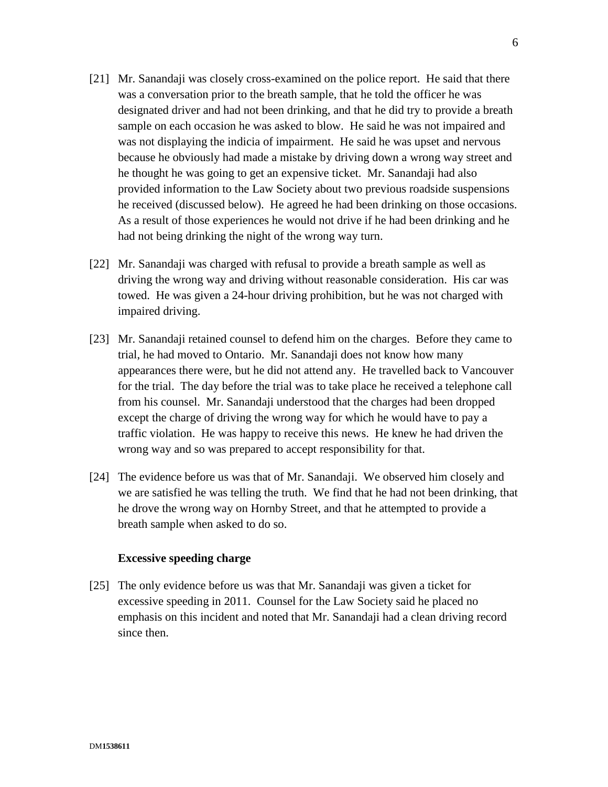- [21] Mr. Sanandaji was closely cross-examined on the police report. He said that there was a conversation prior to the breath sample, that he told the officer he was designated driver and had not been drinking, and that he did try to provide a breath sample on each occasion he was asked to blow. He said he was not impaired and was not displaying the indicia of impairment. He said he was upset and nervous because he obviously had made a mistake by driving down a wrong way street and he thought he was going to get an expensive ticket. Mr. Sanandaji had also provided information to the Law Society about two previous roadside suspensions he received (discussed below). He agreed he had been drinking on those occasions. As a result of those experiences he would not drive if he had been drinking and he had not being drinking the night of the wrong way turn.
- [22] Mr. Sanandaji was charged with refusal to provide a breath sample as well as driving the wrong way and driving without reasonable consideration. His car was towed. He was given a 24-hour driving prohibition, but he was not charged with impaired driving.
- [23] Mr. Sanandaji retained counsel to defend him on the charges. Before they came to trial, he had moved to Ontario. Mr. Sanandaji does not know how many appearances there were, but he did not attend any. He travelled back to Vancouver for the trial. The day before the trial was to take place he received a telephone call from his counsel. Mr. Sanandaji understood that the charges had been dropped except the charge of driving the wrong way for which he would have to pay a traffic violation. He was happy to receive this news. He knew he had driven the wrong way and so was prepared to accept responsibility for that.
- [24] The evidence before us was that of Mr. Sanandaji. We observed him closely and we are satisfied he was telling the truth. We find that he had not been drinking, that he drove the wrong way on Hornby Street, and that he attempted to provide a breath sample when asked to do so.

## **Excessive speeding charge**

[25] The only evidence before us was that Mr. Sanandaji was given a ticket for excessive speeding in 2011. Counsel for the Law Society said he placed no emphasis on this incident and noted that Mr. Sanandaji had a clean driving record since then.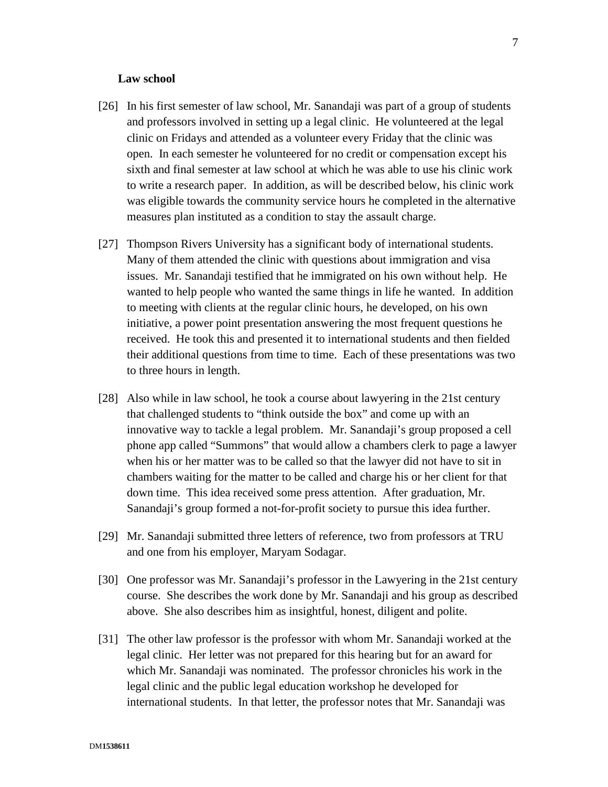#### **Law school**

- [26] In his first semester of law school, Mr. Sanandaji was part of a group of students and professors involved in setting up a legal clinic. He volunteered at the legal clinic on Fridays and attended as a volunteer every Friday that the clinic was open. In each semester he volunteered for no credit or compensation except his sixth and final semester at law school at which he was able to use his clinic work to write a research paper. In addition, as will be described below, his clinic work was eligible towards the community service hours he completed in the alternative measures plan instituted as a condition to stay the assault charge.
- [27] Thompson Rivers University has a significant body of international students. Many of them attended the clinic with questions about immigration and visa issues. Mr. Sanandaji testified that he immigrated on his own without help. He wanted to help people who wanted the same things in life he wanted. In addition to meeting with clients at the regular clinic hours, he developed, on his own initiative, a power point presentation answering the most frequent questions he received. He took this and presented it to international students and then fielded their additional questions from time to time. Each of these presentations was two to three hours in length.
- [28] Also while in law school, he took a course about lawyering in the 21st century that challenged students to "think outside the box" and come up with an innovative way to tackle a legal problem. Mr. Sanandaji's group proposed a cell phone app called "Summons" that would allow a chambers clerk to page a lawyer when his or her matter was to be called so that the lawyer did not have to sit in chambers waiting for the matter to be called and charge his or her client for that down time. This idea received some press attention. After graduation, Mr. Sanandaji's group formed a not-for-profit society to pursue this idea further.
- [29] Mr. Sanandaji submitted three letters of reference, two from professors at TRU and one from his employer, Maryam Sodagar.
- [30] One professor was Mr. Sanandaji's professor in the Lawyering in the 21st century course. She describes the work done by Mr. Sanandaji and his group as described above. She also describes him as insightful, honest, diligent and polite.
- [31] The other law professor is the professor with whom Mr. Sanandaji worked at the legal clinic. Her letter was not prepared for this hearing but for an award for which Mr. Sanandaji was nominated. The professor chronicles his work in the legal clinic and the public legal education workshop he developed for international students. In that letter, the professor notes that Mr. Sanandaji was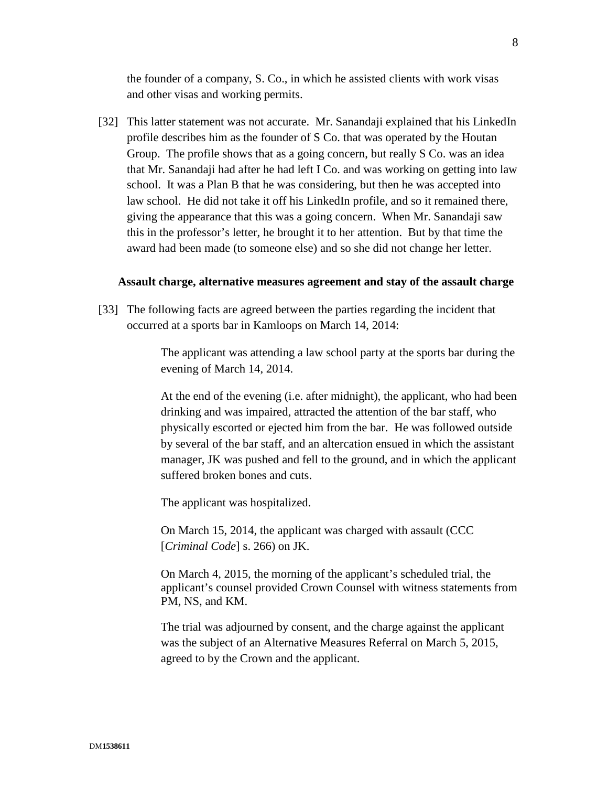the founder of a company, S. Co., in which he assisted clients with work visas and other visas and working permits.

[32] This latter statement was not accurate. Mr. Sanandaji explained that his LinkedIn profile describes him as the founder of S Co. that was operated by the Houtan Group. The profile shows that as a going concern, but really S Co. was an idea that Mr. Sanandaji had after he had left I Co. and was working on getting into law school. It was a Plan B that he was considering, but then he was accepted into law school. He did not take it off his LinkedIn profile, and so it remained there, giving the appearance that this was a going concern. When Mr. Sanandaji saw this in the professor's letter, he brought it to her attention. But by that time the award had been made (to someone else) and so she did not change her letter.

#### **Assault charge, alternative measures agreement and stay of the assault charge**

[33] The following facts are agreed between the parties regarding the incident that occurred at a sports bar in Kamloops on March 14, 2014:

> The applicant was attending a law school party at the sports bar during the evening of March 14, 2014.

> At the end of the evening (i.e. after midnight), the applicant, who had been drinking and was impaired, attracted the attention of the bar staff, who physically escorted or ejected him from the bar. He was followed outside by several of the bar staff, and an altercation ensued in which the assistant manager, JK was pushed and fell to the ground, and in which the applicant suffered broken bones and cuts.

The applicant was hospitalized.

On March 15, 2014, the applicant was charged with assault (CCC [*Criminal Code*] s. 266) on JK.

On March 4, 2015, the morning of the applicant's scheduled trial, the applicant's counsel provided Crown Counsel with witness statements from PM, NS, and KM.

The trial was adjourned by consent, and the charge against the applicant was the subject of an Alternative Measures Referral on March 5, 2015, agreed to by the Crown and the applicant.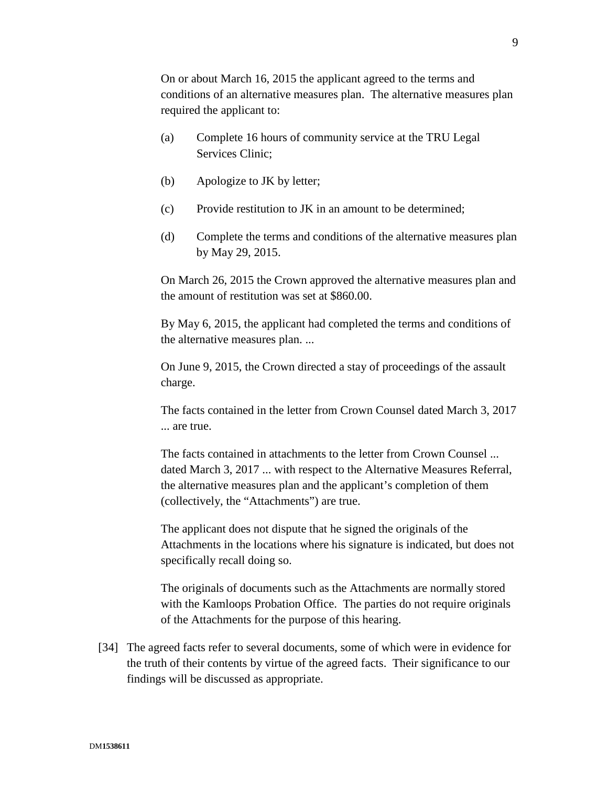On or about March 16, 2015 the applicant agreed to the terms and conditions of an alternative measures plan. The alternative measures plan required the applicant to:

- (a) Complete 16 hours of community service at the TRU Legal Services Clinic;
- (b) Apologize to JK by letter;
- (c) Provide restitution to JK in an amount to be determined;
- (d) Complete the terms and conditions of the alternative measures plan by May 29, 2015.

On March 26, 2015 the Crown approved the alternative measures plan and the amount of restitution was set at \$860.00.

By May 6, 2015, the applicant had completed the terms and conditions of the alternative measures plan. ...

On June 9, 2015, the Crown directed a stay of proceedings of the assault charge.

The facts contained in the letter from Crown Counsel dated March 3, 2017 ... are true.

The facts contained in attachments to the letter from Crown Counsel ... dated March 3, 2017 ... with respect to the Alternative Measures Referral, the alternative measures plan and the applicant's completion of them (collectively, the "Attachments") are true.

The applicant does not dispute that he signed the originals of the Attachments in the locations where his signature is indicated, but does not specifically recall doing so.

The originals of documents such as the Attachments are normally stored with the Kamloops Probation Office. The parties do not require originals of the Attachments for the purpose of this hearing.

[34] The agreed facts refer to several documents, some of which were in evidence for the truth of their contents by virtue of the agreed facts. Their significance to our findings will be discussed as appropriate.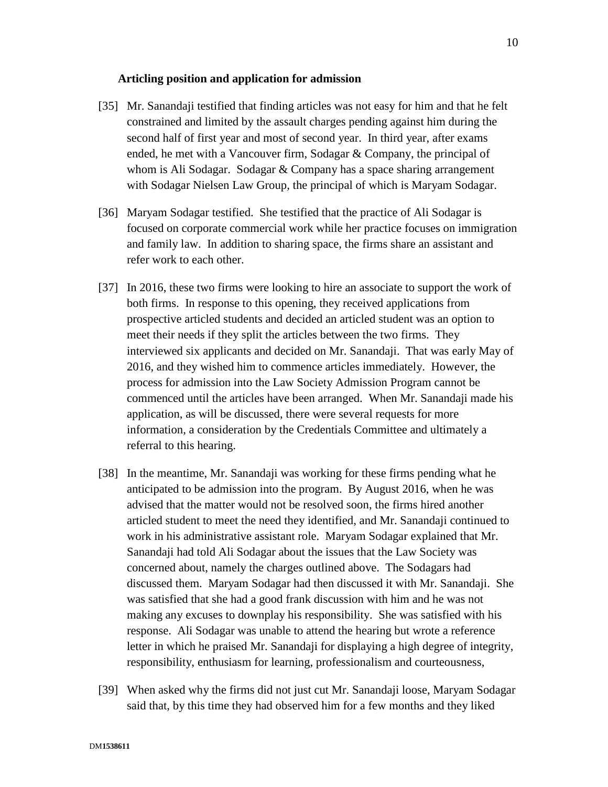#### **Articling position and application for admission**

- [35] Mr. Sanandaji testified that finding articles was not easy for him and that he felt constrained and limited by the assault charges pending against him during the second half of first year and most of second year. In third year, after exams ended, he met with a Vancouver firm, Sodagar & Company, the principal of whom is Ali Sodagar. Sodagar & Company has a space sharing arrangement with Sodagar Nielsen Law Group, the principal of which is Maryam Sodagar.
- [36] Maryam Sodagar testified. She testified that the practice of Ali Sodagar is focused on corporate commercial work while her practice focuses on immigration and family law. In addition to sharing space, the firms share an assistant and refer work to each other.
- [37] In 2016, these two firms were looking to hire an associate to support the work of both firms. In response to this opening, they received applications from prospective articled students and decided an articled student was an option to meet their needs if they split the articles between the two firms. They interviewed six applicants and decided on Mr. Sanandaji. That was early May of 2016, and they wished him to commence articles immediately. However, the process for admission into the Law Society Admission Program cannot be commenced until the articles have been arranged. When Mr. Sanandaji made his application, as will be discussed, there were several requests for more information, a consideration by the Credentials Committee and ultimately a referral to this hearing.
- [38] In the meantime, Mr. Sanandaji was working for these firms pending what he anticipated to be admission into the program. By August 2016, when he was advised that the matter would not be resolved soon, the firms hired another articled student to meet the need they identified, and Mr. Sanandaji continued to work in his administrative assistant role. Maryam Sodagar explained that Mr. Sanandaji had told Ali Sodagar about the issues that the Law Society was concerned about, namely the charges outlined above. The Sodagars had discussed them. Maryam Sodagar had then discussed it with Mr. Sanandaji. She was satisfied that she had a good frank discussion with him and he was not making any excuses to downplay his responsibility. She was satisfied with his response. Ali Sodagar was unable to attend the hearing but wrote a reference letter in which he praised Mr. Sanandaji for displaying a high degree of integrity, responsibility, enthusiasm for learning, professionalism and courteousness,
- [39] When asked why the firms did not just cut Mr. Sanandaji loose, Maryam Sodagar said that, by this time they had observed him for a few months and they liked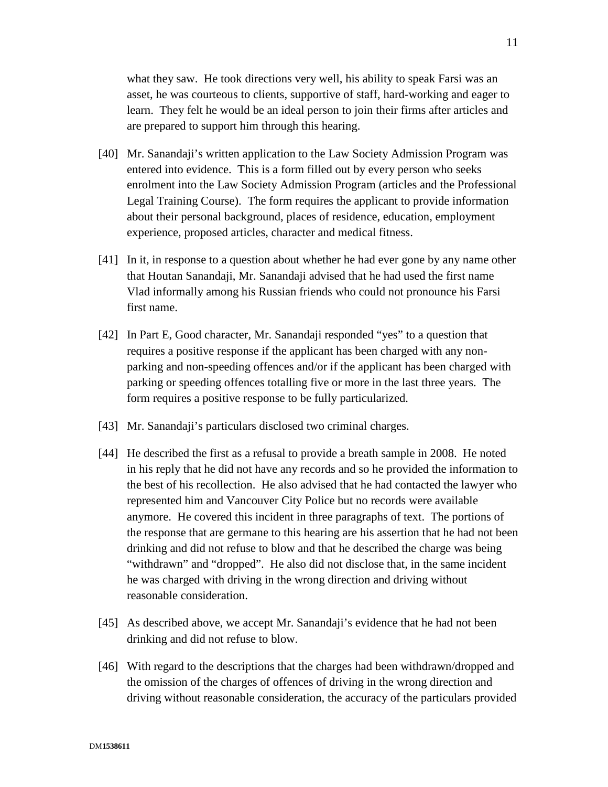what they saw. He took directions very well, his ability to speak Farsi was an asset, he was courteous to clients, supportive of staff, hard-working and eager to learn. They felt he would be an ideal person to join their firms after articles and are prepared to support him through this hearing.

- [40] Mr. Sanandaji's written application to the Law Society Admission Program was entered into evidence. This is a form filled out by every person who seeks enrolment into the Law Society Admission Program (articles and the Professional Legal Training Course). The form requires the applicant to provide information about their personal background, places of residence, education, employment experience, proposed articles, character and medical fitness.
- [41] In it, in response to a question about whether he had ever gone by any name other that Houtan Sanandaji, Mr. Sanandaji advised that he had used the first name Vlad informally among his Russian friends who could not pronounce his Farsi first name.
- [42] In Part E, Good character, Mr. Sanandaji responded "yes" to a question that requires a positive response if the applicant has been charged with any nonparking and non-speeding offences and/or if the applicant has been charged with parking or speeding offences totalling five or more in the last three years. The form requires a positive response to be fully particularized.
- [43] Mr. Sanandaji's particulars disclosed two criminal charges.
- [44] He described the first as a refusal to provide a breath sample in 2008. He noted in his reply that he did not have any records and so he provided the information to the best of his recollection. He also advised that he had contacted the lawyer who represented him and Vancouver City Police but no records were available anymore. He covered this incident in three paragraphs of text. The portions of the response that are germane to this hearing are his assertion that he had not been drinking and did not refuse to blow and that he described the charge was being "withdrawn" and "dropped". He also did not disclose that, in the same incident he was charged with driving in the wrong direction and driving without reasonable consideration.
- [45] As described above, we accept Mr. Sanandaji's evidence that he had not been drinking and did not refuse to blow.
- [46] With regard to the descriptions that the charges had been withdrawn/dropped and the omission of the charges of offences of driving in the wrong direction and driving without reasonable consideration, the accuracy of the particulars provided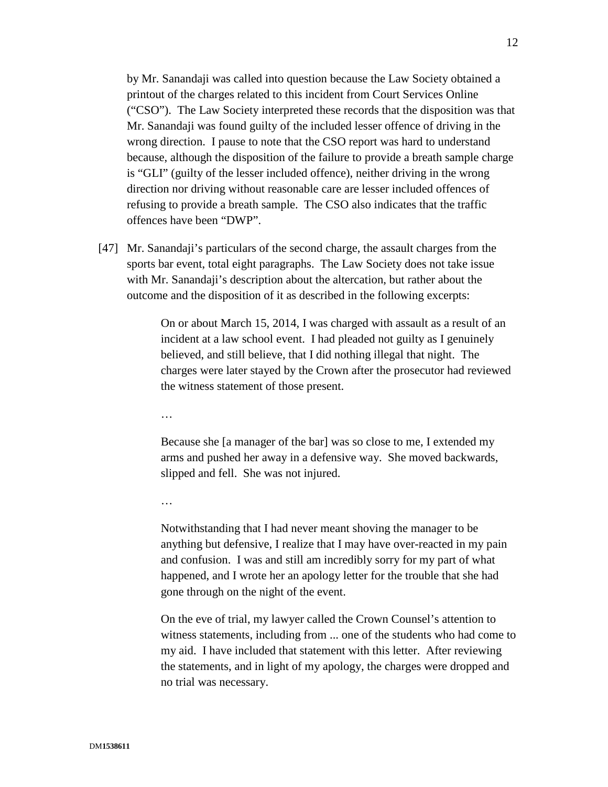by Mr. Sanandaji was called into question because the Law Society obtained a printout of the charges related to this incident from Court Services Online ("CSO"). The Law Society interpreted these records that the disposition was that Mr. Sanandaji was found guilty of the included lesser offence of driving in the wrong direction. I pause to note that the CSO report was hard to understand because, although the disposition of the failure to provide a breath sample charge is "GLI" (guilty of the lesser included offence), neither driving in the wrong direction nor driving without reasonable care are lesser included offences of refusing to provide a breath sample. The CSO also indicates that the traffic offences have been "DWP".

[47] Mr. Sanandaji's particulars of the second charge, the assault charges from the sports bar event, total eight paragraphs. The Law Society does not take issue with Mr. Sanandaji's description about the altercation, but rather about the outcome and the disposition of it as described in the following excerpts:

> On or about March 15, 2014, I was charged with assault as a result of an incident at a law school event. I had pleaded not guilty as I genuinely believed, and still believe, that I did nothing illegal that night. The charges were later stayed by the Crown after the prosecutor had reviewed the witness statement of those present.

…

Because she [a manager of the bar] was so close to me, I extended my arms and pushed her away in a defensive way. She moved backwards, slipped and fell. She was not injured.

…

Notwithstanding that I had never meant shoving the manager to be anything but defensive, I realize that I may have over-reacted in my pain and confusion. I was and still am incredibly sorry for my part of what happened, and I wrote her an apology letter for the trouble that she had gone through on the night of the event.

On the eve of trial, my lawyer called the Crown Counsel's attention to witness statements, including from ... one of the students who had come to my aid. I have included that statement with this letter. After reviewing the statements, and in light of my apology, the charges were dropped and no trial was necessary.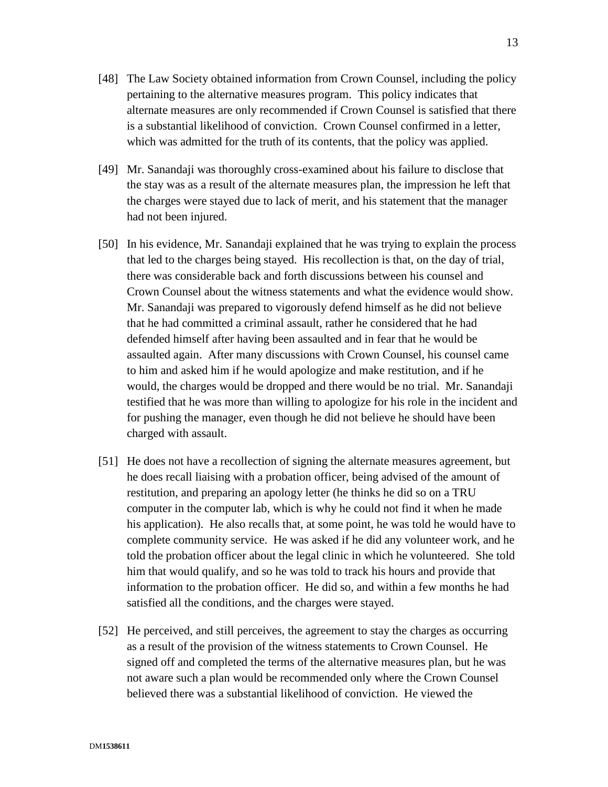- [48] The Law Society obtained information from Crown Counsel, including the policy pertaining to the alternative measures program. This policy indicates that alternate measures are only recommended if Crown Counsel is satisfied that there is a substantial likelihood of conviction. Crown Counsel confirmed in a letter, which was admitted for the truth of its contents, that the policy was applied.
- [49] Mr. Sanandaji was thoroughly cross-examined about his failure to disclose that the stay was as a result of the alternate measures plan, the impression he left that the charges were stayed due to lack of merit, and his statement that the manager had not been injured.
- [50] In his evidence, Mr. Sanandaji explained that he was trying to explain the process that led to the charges being stayed. His recollection is that, on the day of trial, there was considerable back and forth discussions between his counsel and Crown Counsel about the witness statements and what the evidence would show. Mr. Sanandaji was prepared to vigorously defend himself as he did not believe that he had committed a criminal assault, rather he considered that he had defended himself after having been assaulted and in fear that he would be assaulted again. After many discussions with Crown Counsel, his counsel came to him and asked him if he would apologize and make restitution, and if he would, the charges would be dropped and there would be no trial. Mr. Sanandaji testified that he was more than willing to apologize for his role in the incident and for pushing the manager, even though he did not believe he should have been charged with assault.
- [51] He does not have a recollection of signing the alternate measures agreement, but he does recall liaising with a probation officer, being advised of the amount of restitution, and preparing an apology letter (he thinks he did so on a TRU computer in the computer lab, which is why he could not find it when he made his application). He also recalls that, at some point, he was told he would have to complete community service. He was asked if he did any volunteer work, and he told the probation officer about the legal clinic in which he volunteered. She told him that would qualify, and so he was told to track his hours and provide that information to the probation officer. He did so, and within a few months he had satisfied all the conditions, and the charges were stayed.
- [52] He perceived, and still perceives, the agreement to stay the charges as occurring as a result of the provision of the witness statements to Crown Counsel. He signed off and completed the terms of the alternative measures plan, but he was not aware such a plan would be recommended only where the Crown Counsel believed there was a substantial likelihood of conviction. He viewed the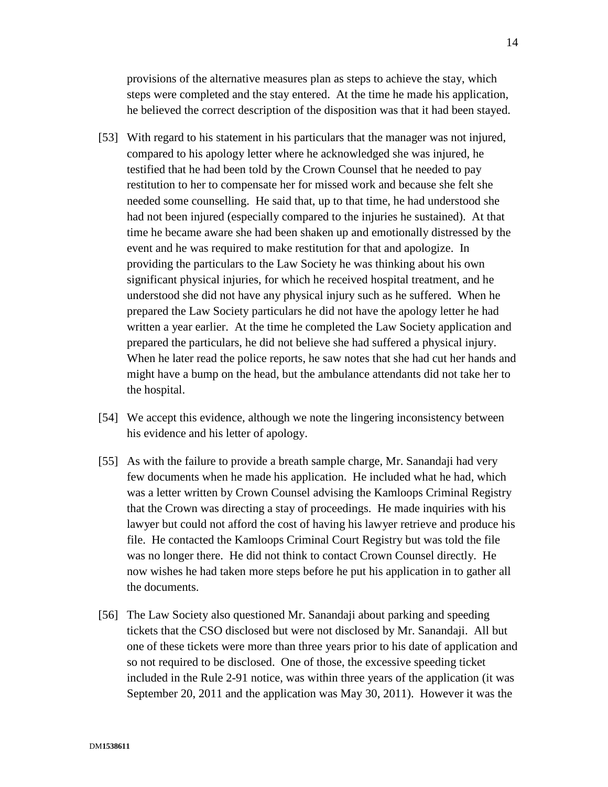provisions of the alternative measures plan as steps to achieve the stay, which steps were completed and the stay entered. At the time he made his application, he believed the correct description of the disposition was that it had been stayed.

- [53] With regard to his statement in his particulars that the manager was not injured, compared to his apology letter where he acknowledged she was injured, he testified that he had been told by the Crown Counsel that he needed to pay restitution to her to compensate her for missed work and because she felt she needed some counselling. He said that, up to that time, he had understood she had not been injured (especially compared to the injuries he sustained). At that time he became aware she had been shaken up and emotionally distressed by the event and he was required to make restitution for that and apologize. In providing the particulars to the Law Society he was thinking about his own significant physical injuries, for which he received hospital treatment, and he understood she did not have any physical injury such as he suffered. When he prepared the Law Society particulars he did not have the apology letter he had written a year earlier. At the time he completed the Law Society application and prepared the particulars, he did not believe she had suffered a physical injury. When he later read the police reports, he saw notes that she had cut her hands and might have a bump on the head, but the ambulance attendants did not take her to the hospital.
- [54] We accept this evidence, although we note the lingering inconsistency between his evidence and his letter of apology.
- [55] As with the failure to provide a breath sample charge, Mr. Sanandaji had very few documents when he made his application. He included what he had, which was a letter written by Crown Counsel advising the Kamloops Criminal Registry that the Crown was directing a stay of proceedings. He made inquiries with his lawyer but could not afford the cost of having his lawyer retrieve and produce his file. He contacted the Kamloops Criminal Court Registry but was told the file was no longer there. He did not think to contact Crown Counsel directly. He now wishes he had taken more steps before he put his application in to gather all the documents.
- [56] The Law Society also questioned Mr. Sanandaji about parking and speeding tickets that the CSO disclosed but were not disclosed by Mr. Sanandaji. All but one of these tickets were more than three years prior to his date of application and so not required to be disclosed. One of those, the excessive speeding ticket included in the Rule 2-91 notice, was within three years of the application (it was September 20, 2011 and the application was May 30, 2011). However it was the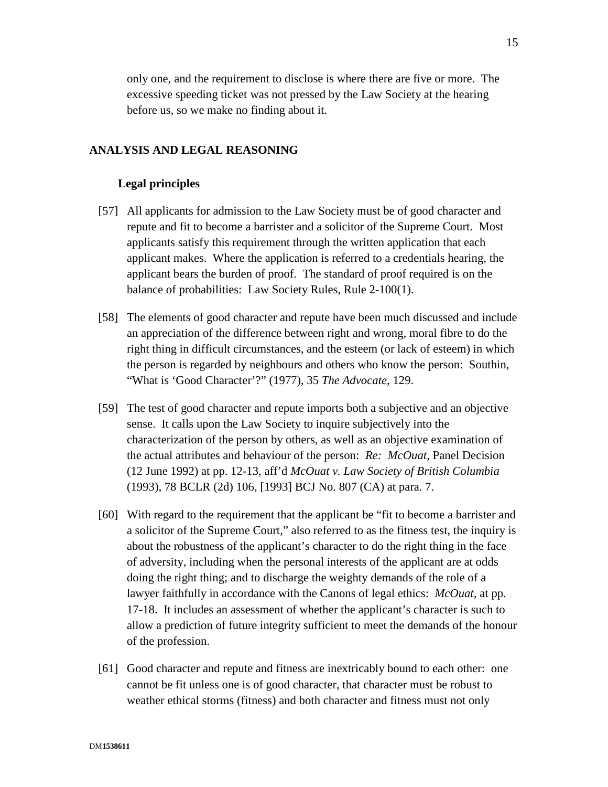only one, and the requirement to disclose is where there are five or more. The excessive speeding ticket was not pressed by the Law Society at the hearing before us, so we make no finding about it.

## **ANALYSIS AND LEGAL REASONING**

#### **Legal principles**

- [57] All applicants for admission to the Law Society must be of good character and repute and fit to become a barrister and a solicitor of the Supreme Court. Most applicants satisfy this requirement through the written application that each applicant makes. Where the application is referred to a credentials hearing, the applicant bears the burden of proof. The standard of proof required is on the balance of probabilities: Law Society Rules, Rule 2-100(1).
- [58] The elements of good character and repute have been much discussed and include an appreciation of the difference between right and wrong, moral fibre to do the right thing in difficult circumstances, and the esteem (or lack of esteem) in which the person is regarded by neighbours and others who know the person: Southin, "What is 'Good Character'?" (1977), 35 *The Advocate*, 129.
- [59] The test of good character and repute imports both a subjective and an objective sense. It calls upon the Law Society to inquire subjectively into the characterization of the person by others, as well as an objective examination of the actual attributes and behaviour of the person: *Re: McOuat,* Panel Decision (12 June 1992) at pp. 12-13, aff'd *McOuat v. Law Society of British Columbia* (1993), 78 BCLR (2d) 106, [1993] BCJ No. 807 (CA) at para. 7.
- [60] With regard to the requirement that the applicant be "fit to become a barrister and a solicitor of the Supreme Court," also referred to as the fitness test, the inquiry is about the robustness of the applicant's character to do the right thing in the face of adversity, including when the personal interests of the applicant are at odds doing the right thing; and to discharge the weighty demands of the role of a lawyer faithfully in accordance with the Canons of legal ethics: *McOuat,* at pp. 17-18.It includes an assessment of whether the applicant's character is such to allow a prediction of future integrity sufficient to meet the demands of the honour of the profession.
- [61] Good character and repute and fitness are inextricably bound to each other: one cannot be fit unless one is of good character, that character must be robust to weather ethical storms (fitness) and both character and fitness must not only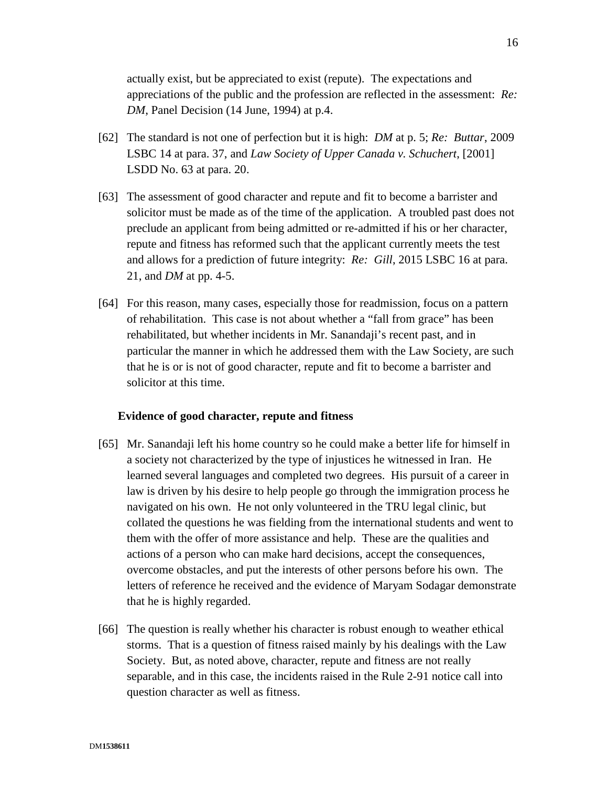actually exist, but be appreciated to exist (repute). The expectations and appreciations of the public and the profession are reflected in the assessment: *Re: DM*, Panel Decision (14 June, 1994) at p.4.

- [62] The standard is not one of perfection but it is high: *DM* at p. 5; *Re: Buttar*, 2009 LSBC 14 at para. 37, and *Law Society of Upper Canada v. Schuchert*, [2001] LSDD No. 63 at para. 20.
- [63] The assessment of good character and repute and fit to become a barrister and solicitor must be made as of the time of the application. A troubled past does not preclude an applicant from being admitted or re-admitted if his or her character, repute and fitness has reformed such that the applicant currently meets the test and allows for a prediction of future integrity: *Re: Gill*, 2015 LSBC 16 at para. 21, and *DM* at pp. 4-5.
- [64] For this reason, many cases, especially those for readmission, focus on a pattern of rehabilitation. This case is not about whether a "fall from grace" has been rehabilitated, but whether incidents in Mr. Sanandaji's recent past, and in particular the manner in which he addressed them with the Law Society, are such that he is or is not of good character, repute and fit to become a barrister and solicitor at this time.

#### **Evidence of good character, repute and fitness**

- [65] Mr. Sanandaji left his home country so he could make a better life for himself in a society not characterized by the type of injustices he witnessed in Iran. He learned several languages and completed two degrees. His pursuit of a career in law is driven by his desire to help people go through the immigration process he navigated on his own. He not only volunteered in the TRU legal clinic, but collated the questions he was fielding from the international students and went to them with the offer of more assistance and help. These are the qualities and actions of a person who can make hard decisions, accept the consequences, overcome obstacles, and put the interests of other persons before his own. The letters of reference he received and the evidence of Maryam Sodagar demonstrate that he is highly regarded.
- [66] The question is really whether his character is robust enough to weather ethical storms. That is a question of fitness raised mainly by his dealings with the Law Society. But, as noted above, character, repute and fitness are not really separable, and in this case, the incidents raised in the Rule 2-91 notice call into question character as well as fitness.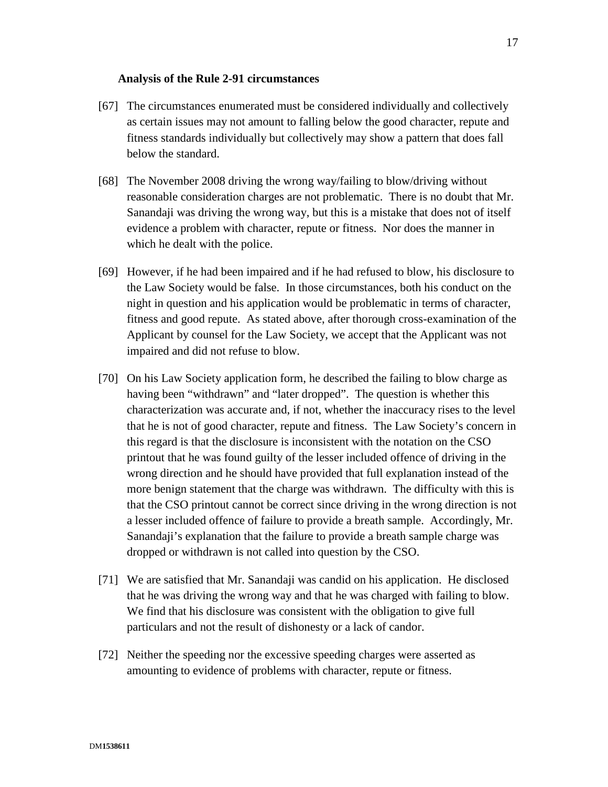#### **Analysis of the Rule 2-91 circumstances**

- [67] The circumstances enumerated must be considered individually and collectively as certain issues may not amount to falling below the good character, repute and fitness standards individually but collectively may show a pattern that does fall below the standard.
- [68] The November 2008 driving the wrong way/failing to blow/driving without reasonable consideration charges are not problematic. There is no doubt that Mr. Sanandaji was driving the wrong way, but this is a mistake that does not of itself evidence a problem with character, repute or fitness. Nor does the manner in which he dealt with the police.
- [69] However, if he had been impaired and if he had refused to blow, his disclosure to the Law Society would be false. In those circumstances, both his conduct on the night in question and his application would be problematic in terms of character, fitness and good repute. As stated above, after thorough cross-examination of the Applicant by counsel for the Law Society, we accept that the Applicant was not impaired and did not refuse to blow.
- [70] On his Law Society application form, he described the failing to blow charge as having been "withdrawn" and "later dropped". The question is whether this characterization was accurate and, if not, whether the inaccuracy rises to the level that he is not of good character, repute and fitness. The Law Society's concern in this regard is that the disclosure is inconsistent with the notation on the CSO printout that he was found guilty of the lesser included offence of driving in the wrong direction and he should have provided that full explanation instead of the more benign statement that the charge was withdrawn. The difficulty with this is that the CSO printout cannot be correct since driving in the wrong direction is not a lesser included offence of failure to provide a breath sample. Accordingly, Mr. Sanandaji's explanation that the failure to provide a breath sample charge was dropped or withdrawn is not called into question by the CSO.
- [71] We are satisfied that Mr. Sanandaji was candid on his application. He disclosed that he was driving the wrong way and that he was charged with failing to blow. We find that his disclosure was consistent with the obligation to give full particulars and not the result of dishonesty or a lack of candor.
- [72] Neither the speeding nor the excessive speeding charges were asserted as amounting to evidence of problems with character, repute or fitness.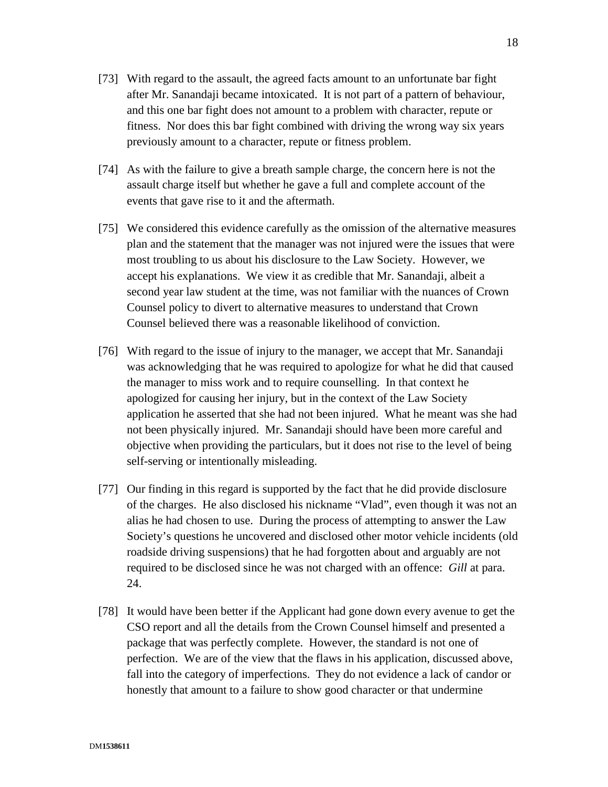- [73] With regard to the assault, the agreed facts amount to an unfortunate bar fight after Mr. Sanandaji became intoxicated. It is not part of a pattern of behaviour, and this one bar fight does not amount to a problem with character, repute or fitness. Nor does this bar fight combined with driving the wrong way six years previously amount to a character, repute or fitness problem.
- [74] As with the failure to give a breath sample charge, the concern here is not the assault charge itself but whether he gave a full and complete account of the events that gave rise to it and the aftermath.
- [75] We considered this evidence carefully as the omission of the alternative measures plan and the statement that the manager was not injured were the issues that were most troubling to us about his disclosure to the Law Society. However, we accept his explanations. We view it as credible that Mr. Sanandaji, albeit a second year law student at the time, was not familiar with the nuances of Crown Counsel policy to divert to alternative measures to understand that Crown Counsel believed there was a reasonable likelihood of conviction.
- [76] With regard to the issue of injury to the manager, we accept that Mr. Sanandaji was acknowledging that he was required to apologize for what he did that caused the manager to miss work and to require counselling. In that context he apologized for causing her injury, but in the context of the Law Society application he asserted that she had not been injured. What he meant was she had not been physically injured. Mr. Sanandaji should have been more careful and objective when providing the particulars, but it does not rise to the level of being self-serving or intentionally misleading.
- [77] Our finding in this regard is supported by the fact that he did provide disclosure of the charges. He also disclosed his nickname "Vlad", even though it was not an alias he had chosen to use. During the process of attempting to answer the Law Society's questions he uncovered and disclosed other motor vehicle incidents (old roadside driving suspensions) that he had forgotten about and arguably are not required to be disclosed since he was not charged with an offence: *Gill* at para. 24.
- [78] It would have been better if the Applicant had gone down every avenue to get the CSO report and all the details from the Crown Counsel himself and presented a package that was perfectly complete. However, the standard is not one of perfection. We are of the view that the flaws in his application, discussed above, fall into the category of imperfections. They do not evidence a lack of candor or honestly that amount to a failure to show good character or that undermine